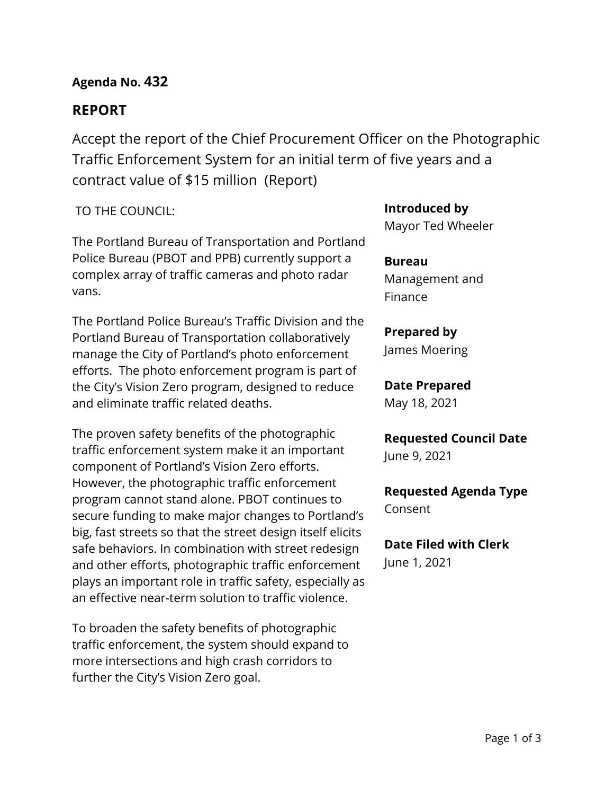## **Agenda No. 432**

# **REPORT**

Accept the report of the Chief Procurement Officer on the Photographic Traffic Enforcement System for an initial term of five years and a contract value of \$15 million (Report)

### TO THE COUNCIL:

The Portland Bureau of Transportation and Portland Police Bureau (PBOT and PPB) currently support a complex array of traffic cameras and photo radar vans.

The Portland Police Bureau's Traffic Division and the Portland Bureau of Transportation collaboratively manage the City of Portland's photo enforcement efforts. The photo enforcement program is part of the City's Vision Zero program, designed to reduce and eliminate traffic related deaths.

The proven safety benefits of the photographic traffic enforcement system make it an important component of Portland's Vision Zero efforts. However, the photographic traffic enforcement program cannot stand alone. PBOT continues to secure funding to make major changes to Portland's big, fast streets so that the street design itself elicits safe behaviors. In combination with street redesign and other efforts, photographic traffic enforcement plays an important role in traffic safety, especially as an effective near-term solution to traffic violence.

To broaden the safety benefits of photographic traffic enforcement, the system should expand to more intersections and high crash corridors to further the City's Vision Zero goal.

### **Introduced by**

Mayor Ted Wheeler

**Bureau** Management and Finance

### **Prepared by**

James Moering

## **Date Prepared**

May 18, 2021

**Requested Council Date** June 9, 2021

**Requested Agenda Type** Consent

**Date Filed with Clerk**  June 1, 2021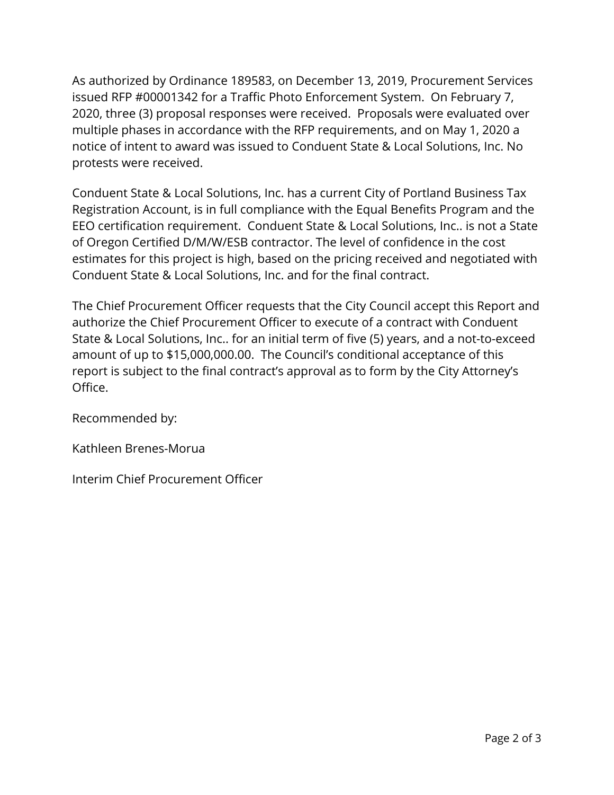As authorized by Ordinance 189583, on December 13, 2019, Procurement Services issued RFP #00001342 for a Traffic Photo Enforcement System. On February 7, 2020, three (3) proposal responses were received. Proposals were evaluated over multiple phases in accordance with the RFP requirements, and on May 1, 2020 a notice of intent to award was issued to Conduent State & Local Solutions, Inc. No protests were received.

Conduent State & Local Solutions, Inc. has a current City of Portland Business Tax Registration Account, is in full compliance with the Equal Benefits Program and the EEO certification requirement. Conduent State & Local Solutions, Inc.. is not a State of Oregon Certified D/M/W/ESB contractor. The level of confidence in the cost estimates for this project is high, based on the pricing received and negotiated with Conduent State & Local Solutions, Inc. and for the final contract.

The Chief Procurement Officer requests that the City Council accept this Report and authorize the Chief Procurement Officer to execute of a contract with Conduent State & Local Solutions, Inc.. for an initial term of five (5) years, and a not-to-exceed amount of up to \$15,000,000.00. The Council's conditional acceptance of this report is subject to the final contract's approval as to form by the City Attorney's Office.

Recommended by:

Kathleen Brenes-Morua

Interim Chief Procurement Officer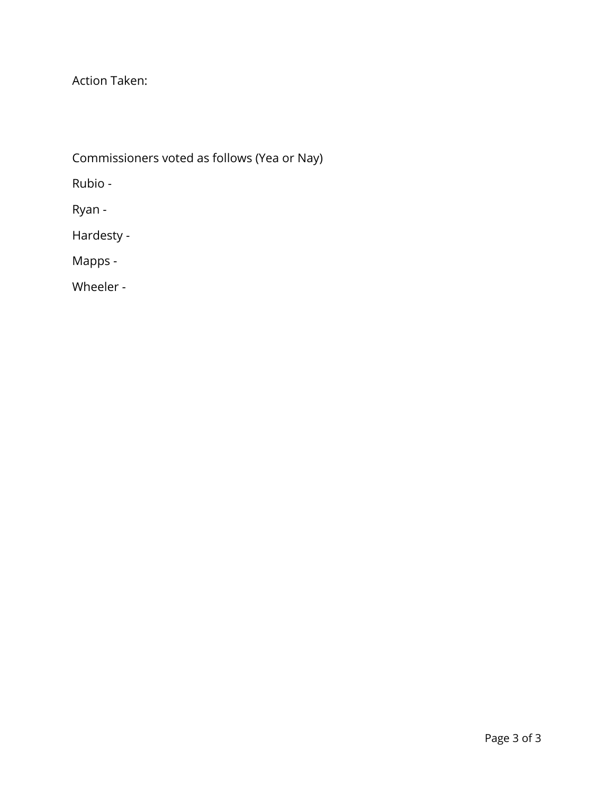Action Taken:

Commissioners voted as follows (Yea or Nay)

Rubio -

Ryan -

Hardesty -

Mapps -

Wheeler -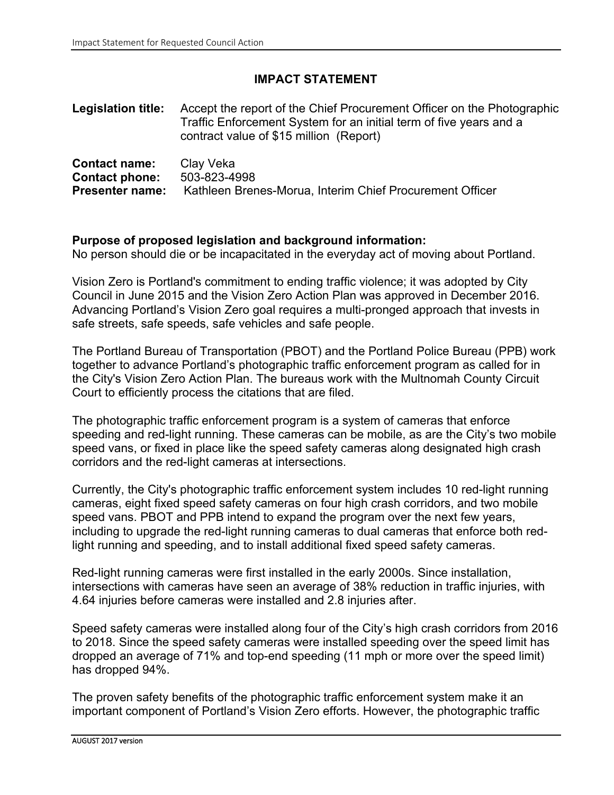### **IMPACT STATEMENT**

**Legislation title:** Accept the report of the Chief Procurement Officer on the Photographic Traffic Enforcement System for an initial term of five years and a contract value of \$15 million (Report)

| <b>Contact name:</b>   | Clay Veka                                                |
|------------------------|----------------------------------------------------------|
| <b>Contact phone:</b>  | 503-823-4998                                             |
| <b>Presenter name:</b> | Kathleen Brenes-Morua, Interim Chief Procurement Officer |

#### **Purpose of proposed legislation and background information:**

No person should die or be incapacitated in the everyday act of moving about Portland.

Vision Zero is Portland's commitment to ending traffic violence; it was adopted by City Council in June 2015 and the Vision Zero Action Plan was approved in December 2016. Advancing Portland's Vision Zero goal requires a multi-pronged approach that invests in safe streets, safe speeds, safe vehicles and safe people.

The Portland Bureau of Transportation (PBOT) and the Portland Police Bureau (PPB) work together to advance Portland's photographic traffic enforcement program as called for in the City's Vision Zero Action Plan. The bureaus work with the Multnomah County Circuit Court to efficiently process the citations that are filed.

The photographic traffic enforcement program is a system of cameras that enforce speeding and red-light running. These cameras can be mobile, as are the City's two mobile speed vans, or fixed in place like the speed safety cameras along designated high crash corridors and the red-light cameras at intersections.

Currently, the City's photographic traffic enforcement system includes 10 red-light running cameras, eight fixed speed safety cameras on four high crash corridors, and two mobile speed vans. PBOT and PPB intend to expand the program over the next few years, including to upgrade the red-light running cameras to dual cameras that enforce both redlight running and speeding, and to install additional fixed speed safety cameras.

Red-light running cameras were first installed in the early 2000s. Since installation, intersections with cameras have seen an average of 38% reduction in traffic injuries, with 4.64 injuries before cameras were installed and 2.8 injuries after.

Speed safety cameras were installed along four of the City's high crash corridors from 2016 to 2018. Since the speed safety cameras were installed speeding over the speed limit has dropped an average of 71% and top-end speeding (11 mph or more over the speed limit) has dropped 94%.

The proven safety benefits of the photographic traffic enforcement system make it an important component of Portland's Vision Zero efforts. However, the photographic traffic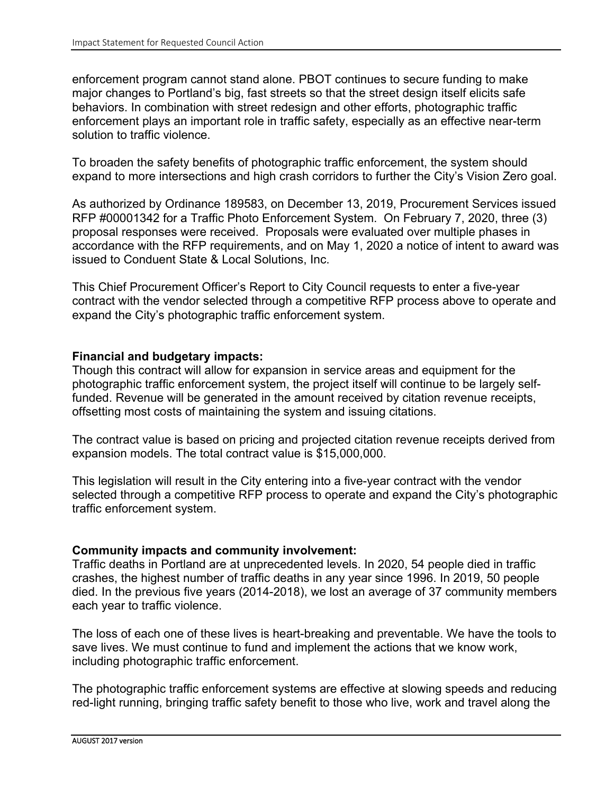enforcement program cannot stand alone. PBOT continues to secure funding to make major changes to Portland's big, fast streets so that the street design itself elicits safe behaviors. In combination with street redesign and other efforts, photographic traffic enforcement plays an important role in traffic safety, especially as an effective near-term solution to traffic violence.

To broaden the safety benefits of photographic traffic enforcement, the system should expand to more intersections and high crash corridors to further the City's Vision Zero goal.

As authorized by Ordinance 189583, on December 13, 2019, Procurement Services issued RFP #00001342 for a Traffic Photo Enforcement System. On February 7, 2020, three (3) proposal responses were received. Proposals were evaluated over multiple phases in accordance with the RFP requirements, and on May 1, 2020 a notice of intent to award was issued to Conduent State & Local Solutions, Inc.

This Chief Procurement Officer's Report to City Council requests to enter a five-year contract with the vendor selected through a competitive RFP process above to operate and expand the City's photographic traffic enforcement system.

#### **Financial and budgetary impacts:**

Though this contract will allow for expansion in service areas and equipment for the photographic traffic enforcement system, the project itself will continue to be largely selffunded. Revenue will be generated in the amount received by citation revenue receipts, offsetting most costs of maintaining the system and issuing citations.

The contract value is based on pricing and projected citation revenue receipts derived from expansion models. The total contract value is \$15,000,000.

This legislation will result in the City entering into a five-year contract with the vendor selected through a competitive RFP process to operate and expand the City's photographic traffic enforcement system.

### **Community impacts and community involvement:**

Traffic deaths in Portland are at unprecedented levels. In 2020, 54 people died in traffic crashes, the highest number of traffic deaths in any year since 1996. In 2019, 50 people died. In the previous five years (2014-2018), we lost an average of 37 community members each year to traffic violence.

The loss of each one of these lives is heart-breaking and preventable. We have the tools to save lives. We must continue to fund and implement the actions that we know work, including photographic traffic enforcement.

The photographic traffic enforcement systems are effective at slowing speeds and reducing red-light running, bringing traffic safety benefit to those who live, work and travel along the